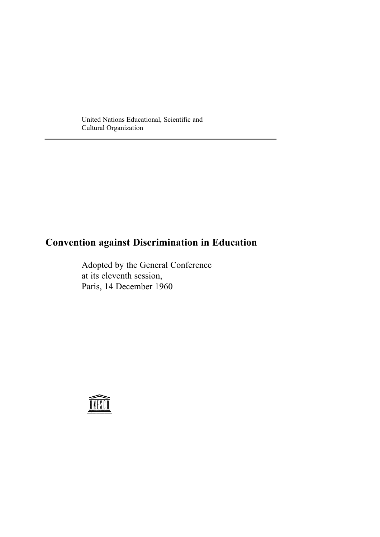United Nations Educational, Scientific and Cultural Organization

# **Convention against Discrimination in Education**

Adopted by the General Conference at its eleventh session, Paris, 14 December 1960

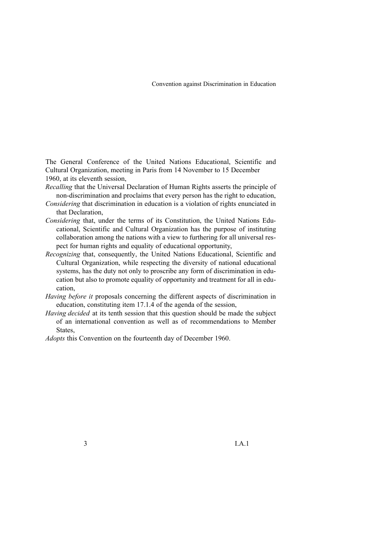The General Conference of the United Nations Educational, Scientific and Cultural Organization, meeting in Paris from 14 November to 15 December 1960, at its eleventh session,

- *Recalling* that the Universal Declaration of Human Rights asserts the principle of non-discrimination and proclaims that every person has the right to education,
- *Considering* that discrimination in education is a violation of rights enunciated in that Declaration,
- *Considering* that, under the terms of its Constitution, the United Nations Educational, Scientific and Cultural Organization has the purpose of instituting collaboration among the nations with a view to furthering for all universal respect for human rights and equality of educational opportunity,
- *Recognizing* that, consequently, the United Nations Educational, Scientific and Cultural Organization, while respecting the diversity of national educational systems, has the duty not only to proscribe any form of discrimination in education but also to promote equality of opportunity and treatment for all in education,
- *Having before it* proposals concerning the different aspects of discrimination in education, constituting item 17.1.4 of the agenda of the session,
- *Having decided* at its tenth session that this question should be made the subject of an international convention as well as of recommendations to Member States,

*Adopts* this Convention on the fourteenth day of December 1960.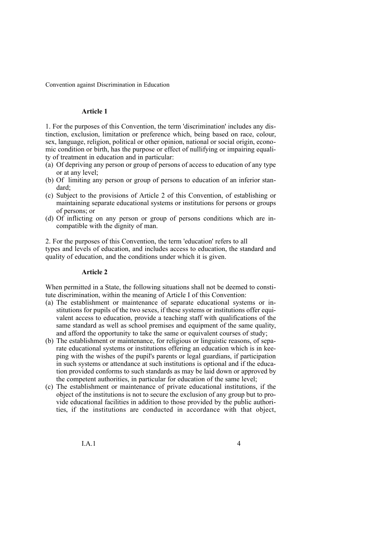#### **Article 1**

1. For the purposes of this Convention, the term 'discrimination' includes any distinction, exclusion, limitation or preference which, being based on race, colour, sex, language, religion, political or other opinion, national or social origin, economic condition or birth, has the purpose or effect of nullifying or impairing equality of treatment in education and in particular:

- (a) Of depriving any person or group of persons of access to education of any type or at any level;
- (b) Of limiting any person or group of persons to education of an inferior standard;
- (c) Subject to the provisions of Article 2 of this Convention, of establishing or maintaining separate educational systems or institutions for persons or groups of persons; or
- (d) Of inflicting on any person or group of persons conditions which are incompatible with the dignity of man.

2. For the purposes of this Convention, the term 'education' refers to all types and levels of education, and includes access to education, the standard and quality of education, and the conditions under which it is given.

# **Article 2**

When permitted in a State, the following situations shall not be deemed to constitute discrimination, within the meaning of Article I of this Convention:

- (a) The establishment or maintenance of separate educational systems or institutions for pupils of the two sexes, if these systems or institutions offer equivalent access to education, provide a teaching staff with qualifications of the same standard as well as school premises and equipment of the same quality, and afford the opportunity to take the same or equivalent courses of study;
- (b) The establishment or maintenance, for religious or linguistic reasons, of separate educational systems or institutions offering an education which is in keeping with the wishes of the pupil's parents or legal guardians, if participation in such systems or attendance at such institutions is optional and if the education provided conforms to such standards as may be laid down or approved by the competent authorities, in particular for education of the same level;
- (c) The establishment or maintenance of private educational institutions, if the object of the institutions is not to secure the exclusion of any group but to provide educational facilities in addition to those provided by the public authorities, if the institutions are conducted in accordance with that object,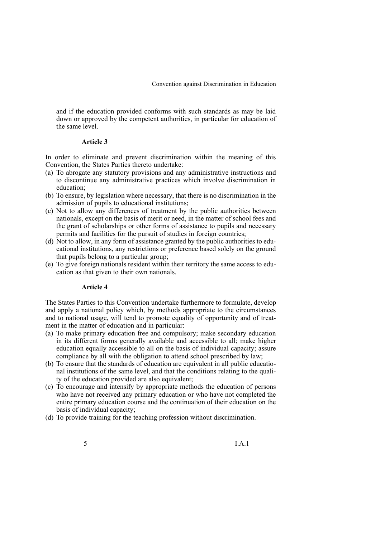and if the education provided conforms with such standards as may be laid down or approved by the competent authorities, in particular for education of the same level.

#### **Article 3**

In order to eliminate and prevent discrimination within the meaning of this Convention, the States Parties thereto undertake:

- (a) To abrogate any statutory provisions and any administrative instructions and to discontinue any administrative practices which involve discrimination in education;
- (b) To ensure, by legislation where necessary, that there is no discrimination in the admission of pupils to educational institutions;
- (c) Not to allow any differences of treatment by the public authorities between nationals, except on the basis of merit or need, in the matter of school fees and the grant of scholarships or other forms of assistance to pupils and necessary permits and facilities for the pursuit of studies in foreign countries;
- (d) Not to allow, in any form of assistance granted by the public authorities to educational institutions, any restrictions or preference based solely on the ground that pupils belong to a particular group;
- (e) To give foreign nationals resident within their territory the same access to education as that given to their own nationals.

#### **Article 4**

The States Parties to this Convention undertake furthermore to formulate, develop and apply a national policy which, by methods appropriate to the circumstances and to national usage, will tend to promote equality of opportunity and of treatment in the matter of education and in particular:

- (a) To make primary education free and compulsory; make secondary education in its different forms generally available and accessible to all; make higher education equally accessible to all on the basis of individual capacity; assure compliance by all with the obligation to attend school prescribed by law;
- (b) To ensure that the standards of education are equivalent in all public educational institutions of the same level, and that the conditions relating to the quality of the education provided are also equivalent;
- (c) To encourage and intensify by appropriate methods the education of persons who have not received any primary education or who have not completed the entire primary education course and the continuation of their education on the basis of individual capacity;
- (d) To provide training for the teaching profession without discrimination.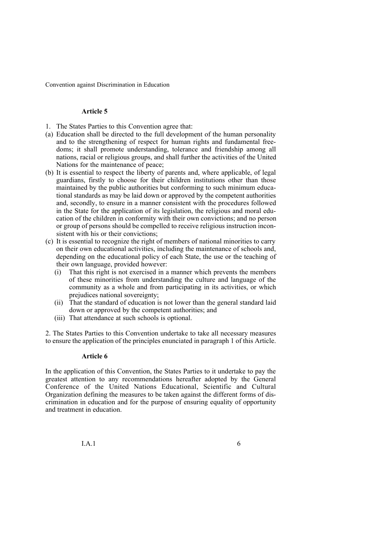## **Article 5**

- 1. The States Parties to this Convention agree that:
- (a) Education shall be directed to the full development of the human personality and to the strengthening of respect for human rights and fundamental freedoms; it shall promote understanding, tolerance and friendship among all nations, racial or religious groups, and shall further the activities of the United Nations for the maintenance of peace;
- (b) It is essential to respect the liberty of parents and, where applicable, of legal guardians, firstly to choose for their children institutions other than those maintained by the public authorities but conforming to such minimum educational standards as may be laid down or approved by the competent authorities and, secondly, to ensure in a manner consistent with the procedures followed in the State for the application of its legislation, the religious and moral education of the children in conformity with their own convictions; and no person or group of persons should be compelled to receive religious instruction inconsistent with his or their convictions;
- (c) It is essential to recognize the right of members of national minorities to carry on their own educational activities, including the maintenance of schools and, depending on the educational policy of each State, the use or the teaching of their own language, provided however:
	- (i) That this right is not exercised in a manner which prevents the members of these minorities from understanding the culture and language of the community as a whole and from participating in its activities, or which prejudices national sovereignty;
	- (ii) That the standard of education is not lower than the general standard laid down or approved by the competent authorities; and
	- (iii) That attendance at such schools is optional.

2. The States Parties to this Convention undertake to take all necessary measures to ensure the application of the principles enunciated in paragraph 1 of this Article.

## **Article 6**

In the application of this Convention, the States Parties to it undertake to pay the greatest attention to any recommendations hereafter adopted by the General Conference of the United Nations Educational, Scientific and Cultural Organization defining the measures to be taken against the different forms of discrimination in education and for the purpose of ensuring equality of opportunity and treatment in education.

 $I.A.1$  6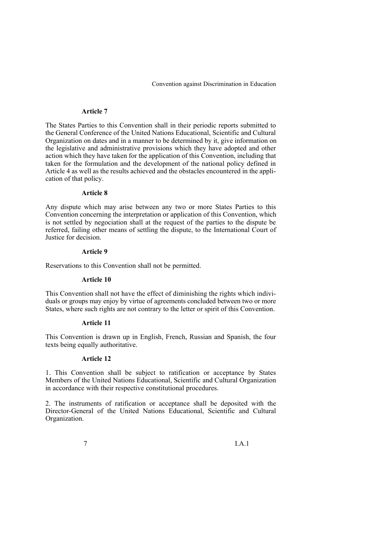#### **Article 7**

The States Parties to this Convention shall in their periodic reports submitted to the General Conference of the United Nations Educational, Scientific and Cultural Organization on dates and in a manner to be determined by it, give information on the legislative and administrative provisions which they have adopted and other action which they have taken for the application of this Convention, including that taken for the formulation and the development of the national policy defined in Article 4 as well as the results achieved and the obstacles encountered in the application of that policy.

## **Article 8**

Any dispute which may arise between any two or more States Parties to this Convention concerning the interpretation or application of this Convention, which is not settled by negociation shall at the request of the parties to the dispute be referred, failing other means of settling the dispute, to the International Court of Justice for decision.

## **Article 9**

Reservations to this Convention shall not be permitted.

## **Article 10**

This Convention shall not have the effect of diminishing the rights which individuals or groups may enjoy by virtue of agreements concluded between two or more States, where such rights are not contrary to the letter or spirit of this Convention.

## **Article 11**

This Convention is drawn up in English, French, Russian and Spanish, the four texts being equally authoritative.

# **Article 12**

1. This Convention shall be subject to ratification or acceptance by States Members of the United Nations Educational, Scientific and Cultural Organization in accordance with their respective constitutional procedures.

2. The instruments of ratification or acceptance shall be deposited with the Director-General of the United Nations Educational, Scientific and Cultural Organization.

 $7 \quad$  I.A.1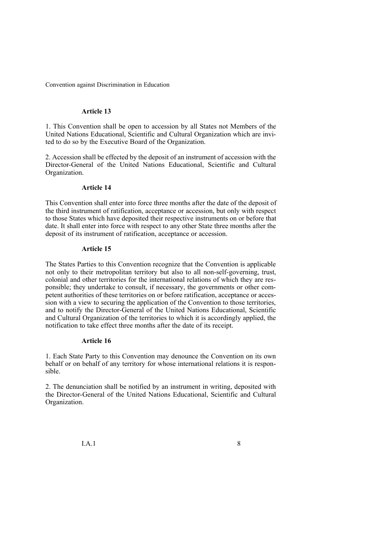## **Article 13**

1. This Convention shall be open to accession by all States not Members of the United Nations Educational, Scientific and Cultural Organization which are invited to do so by the Executive Board of the Organization.

2. Accession shall be effected by the deposit of an instrument of accession with the Director-General of the United Nations Educational, Scientific and Cultural Organization.

# **Article 14**

This Convention shall enter into force three months after the date of the deposit of the third instrument of ratification, acceptance or accession, but only with respect to those States which have deposited their respective instruments on or before that date. It shall enter into force with respect to any other State three months after the deposit of its instrument of ratification, acceptance or accession.

# **Article 15**

The States Parties to this Convention recognize that the Convention is applicable not only to their metropolitan territory but also to all non-self-governing, trust, colonial and other territories for the international relations of which they are responsible; they undertake to consult, if necessary, the governments or other competent authorities of these territories on or before ratification, acceptance or accession with a view to securing the application of the Convention to those territories, and to notify the Director-General of the United Nations Educational, Scientific and Cultural Organization of the territories to which it is accordingly applied, the notification to take effect three months after the date of its receipt.

# **Article 16**

1. Each State Party to this Convention may denounce the Convention on its own behalf or on behalf of any territory for whose international relations it is responsible.

2. The denunciation shall be notified by an instrument in writing, deposited with the Director-General of the United Nations Educational, Scientific and Cultural Organization.

 $I.A.1$  8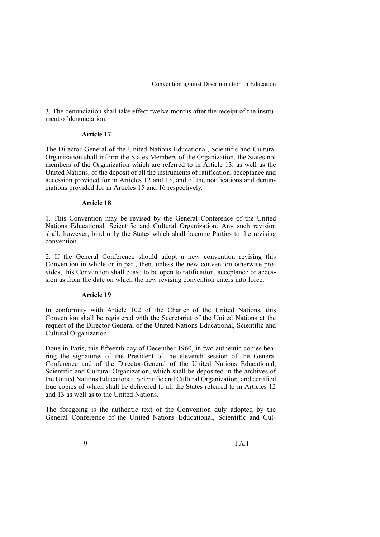3. The denunciation shall take effect twelve months after the receipt of the instrument of denunciation.

#### **Article 17**

The Director-General of the United Nations Educational, Scientific and Cultural Organization shall inform the States Members of the Organization, the States not members of the Organization which are referred to in Article 13, as well as the United Nations, of the deposit of all the instruments of ratification, acceptance and accession provided for in Articles 12 and 13, and of the notifications and denunciations provided for in Articles 15 and 16 respectively.

#### **Article 18**

1. This Convention may be revised by the General Conference of the United Nations Educational, Scientific and Cultural Organization. Any such revision shall, however, bind only the States which shall become Parties to the revising convention.

2. If the General Conference should adopt a new convention revising this Convention in whole or in part, then, unless the new convention otherwise provides, this Convention shall cease to be open to ratification, acceptance or accession as from the date on which the new revising convention enters into force.

## **Article 19**

In conformity with Article 102 of the Charter of the United Nations, this Convention shall be registered with the Secretariat of the United Nations at the request of the Director-General of the United Nations Educational, Scientific and Cultural Organization.

Done in Paris, this fifteenth day of December 1960, in two authentic copies bearing the signatures of the President of the eleventh session of the General Conference and of the Director-General of the United Nations Educational, Scientific and Cultural Organization, which shall be deposited in the archives of the United Nations Educational, Scientific and Cultural Organization, and certified true copies of which shall be delivered to all the States referred to in Articles 12 and 13 as well as to the United Nations.

The foregoing is the authentic text of the Convention duly adopted by the General Conference of the United Nations Educational, Scientific and Cul-